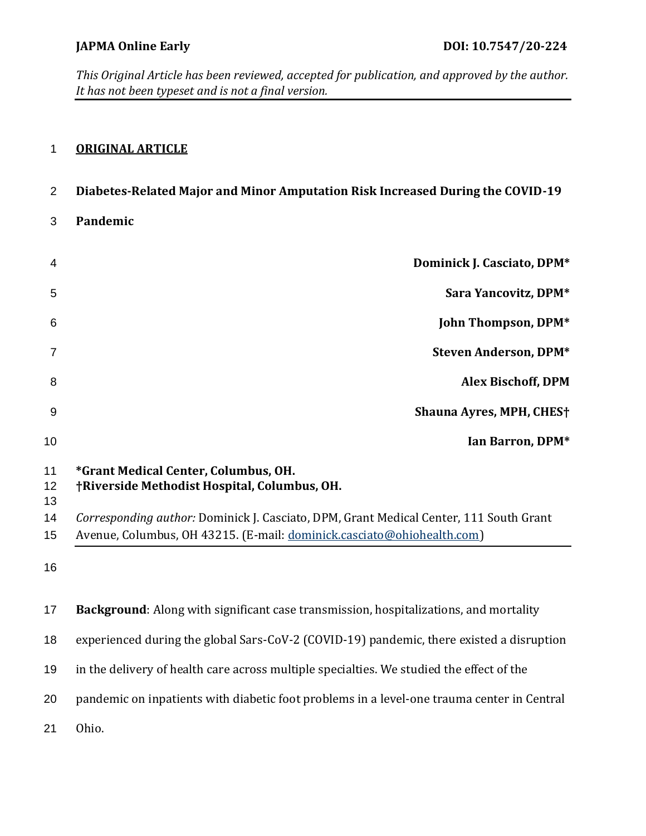# **ORIGINAL ARTICLE**

| $\overline{2}$ | Diabetes-Related Major and Minor Amputation Risk Increased During the COVID-19                                                                                   |  |  |
|----------------|------------------------------------------------------------------------------------------------------------------------------------------------------------------|--|--|
| 3              | Pandemic                                                                                                                                                         |  |  |
| 4              | Dominick J. Casciato, DPM*                                                                                                                                       |  |  |
| 5              | Sara Yancovitz, DPM*                                                                                                                                             |  |  |
| 6              | John Thompson, DPM*                                                                                                                                              |  |  |
| 7              | <b>Steven Anderson, DPM*</b>                                                                                                                                     |  |  |
| 8              | <b>Alex Bischoff, DPM</b>                                                                                                                                        |  |  |
| 9              | <b>Shauna Ayres, MPH, CHES†</b>                                                                                                                                  |  |  |
| 10             | Ian Barron, DPM*                                                                                                                                                 |  |  |
| 11<br>12<br>13 | *Grant Medical Center, Columbus, OH.<br>†Riverside Methodist Hospital, Columbus, OH.                                                                             |  |  |
| 14<br>15       | Corresponding author: Dominick J. Casciato, DPM, Grant Medical Center, 111 South Grant<br>Avenue, Columbus, OH 43215. (E-mail: dominick.casciato@ohiohealth.com) |  |  |
| 16             |                                                                                                                                                                  |  |  |
| 17             | Background: Along with significant case transmission, hospitalizations, and mortality                                                                            |  |  |
| 18             | experienced during the global Sars-CoV-2 (COVID-19) pandemic, there existed a disruption                                                                         |  |  |
| 19             | in the delivery of health care across multiple specialties. We studied the effect of the                                                                         |  |  |
| 20             | pandemic on inpatients with diabetic foot problems in a level-one trauma center in Central                                                                       |  |  |
| 21             | Ohio.                                                                                                                                                            |  |  |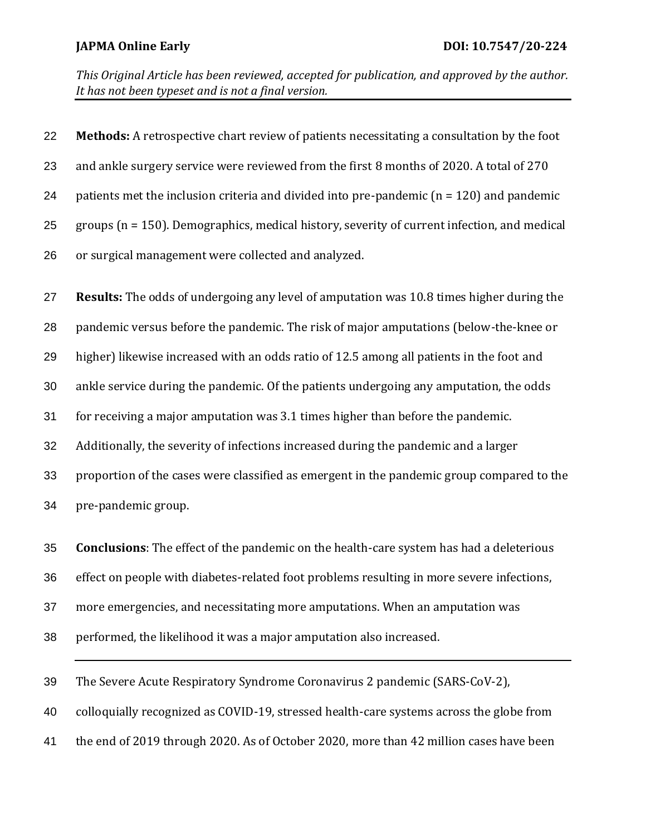| 22 | Methods: A retrospective chart review of patients necessitating a consultation by the foot      |
|----|-------------------------------------------------------------------------------------------------|
| 23 | and ankle surgery service were reviewed from the first 8 months of 2020. A total of 270         |
| 24 | patients met the inclusion criteria and divided into pre-pandemic ( $n = 120$ ) and pandemic    |
| 25 | groups ( $n = 150$ ). Demographics, medical history, severity of current infection, and medical |
| 26 | or surgical management were collected and analyzed.                                             |
| 27 | Results: The odds of undergoing any level of amputation was 10.8 times higher during the        |
| 28 | pandemic versus before the pandemic. The risk of major amputations (below-the-knee or           |
| 29 | higher) likewise increased with an odds ratio of 12.5 among all patients in the foot and        |
| 30 | ankle service during the pandemic. Of the patients undergoing any amputation, the odds          |
| 31 | for receiving a major amputation was 3.1 times higher than before the pandemic.                 |
| 32 | Additionally, the severity of infections increased during the pandemic and a larger             |
| 33 | proportion of the cases were classified as emergent in the pandemic group compared to the       |
| 34 | pre-pandemic group.                                                                             |
| 35 | <b>Conclusions:</b> The effect of the pandemic on the health-care system has had a deleterious  |
| 36 | effect on people with diabetes-related foot problems resulting in more severe infections,       |
| 37 | more emergencies, and necessitating more amputations. When an amputation was                    |
|    |                                                                                                 |

- performed, the likelihood it was a major amputation also increased.
- The Severe Acute Respiratory Syndrome Coronavirus 2 pandemic (SARS-CoV-2),
- colloquially recognized as COVID-19, stressed health-care systems across the globe from
- the end of 2019 through 2020. As of October 2020, more than 42 million cases have been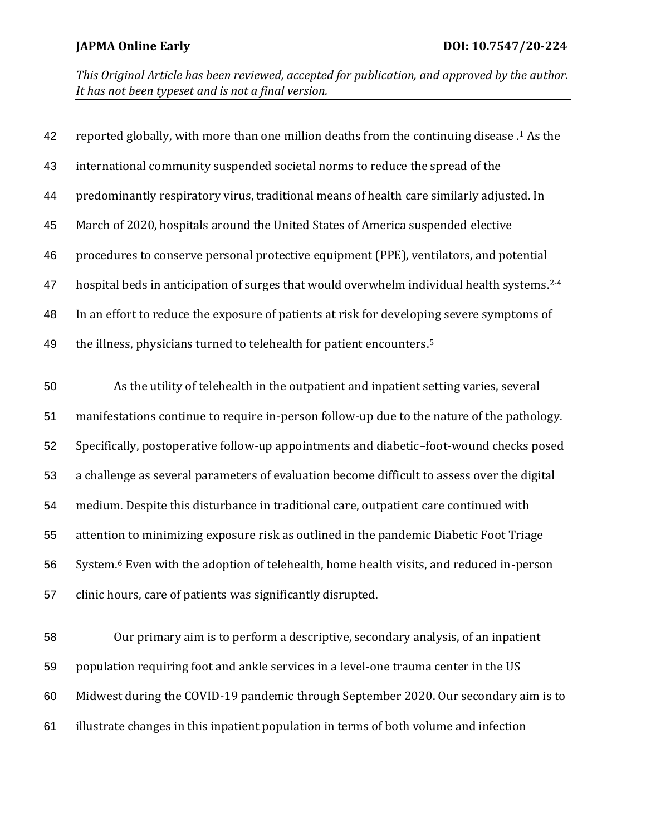| 42 | reported globally, with more than one million deaths from the continuing disease . <sup>1</sup> As the |
|----|--------------------------------------------------------------------------------------------------------|
| 43 | international community suspended societal norms to reduce the spread of the                           |
| 44 | predominantly respiratory virus, traditional means of health care similarly adjusted. In               |
| 45 | March of 2020, hospitals around the United States of America suspended elective                        |
| 46 | procedures to conserve personal protective equipment (PPE), ventilators, and potential                 |
| 47 | hospital beds in anticipation of surges that would overwhelm individual health systems. <sup>2-4</sup> |
| 48 | In an effort to reduce the exposure of patients at risk for developing severe symptoms of              |
| 49 | the illness, physicians turned to telehealth for patient encounters. <sup>5</sup>                      |
| 50 | As the utility of telehealth in the outpatient and inpatient setting varies, several                   |
| 51 | manifestations continue to require in-person follow-up due to the nature of the pathology.             |
| 52 | Specifically, postoperative follow-up appointments and diabetic-foot-wound checks posed                |
| 53 | a challenge as several parameters of evaluation become difficult to assess over the digital            |
| 54 | medium. Despite this disturbance in traditional care, outpatient care continued with                   |
| 55 | attention to minimizing exposure risk as outlined in the pandemic Diabetic Foot Triage                 |
| 56 | System. <sup>6</sup> Even with the adoption of telehealth, home health visits, and reduced in-person   |
| 57 | clinic hours, care of patients was significantly disrupted.                                            |
| 58 | Our primary aim is to perform a descriptive, secondary analysis, of an inpatient                       |

 population requiring foot and ankle services in a level-one trauma center in the US Midwest during the COVID-19 pandemic through September 2020. Our secondary aim is to illustrate changes in this inpatient population in terms of both volume and infection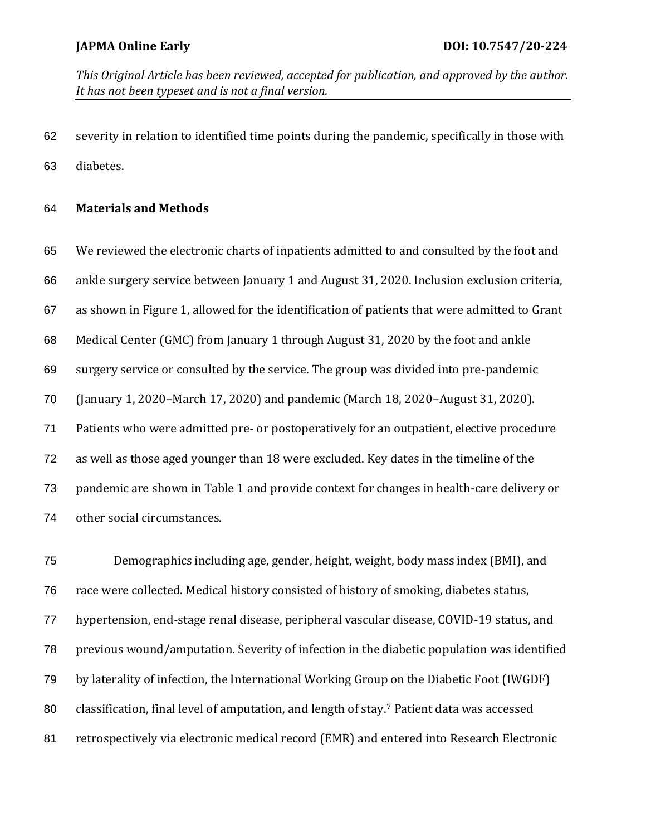severity in relation to identified time points during the pandemic, specifically in those with diabetes.

### **Materials and Methods**

 We reviewed the electronic charts of inpatients admitted to and consulted by the foot and ankle surgery service between January 1 and August 31, 2020. Inclusion exclusion criteria, as shown in Figure 1, allowed for the identification of patients that were admitted to Grant Medical Center (GMC) from January 1 through August 31, 2020 by the foot and ankle surgery service or consulted by the service. The group was divided into pre-pandemic (January 1, 2020–March 17, 2020) and pandemic (March 18, 2020–August 31, 2020). Patients who were admitted pre- or postoperatively for an outpatient, elective procedure as well as those aged younger than 18 were excluded. Key dates in the timeline of the pandemic are shown in Table 1 and provide context for changes in health-care delivery or other social circumstances.

 Demographics including age, gender, height, weight, body mass index (BMI), and race were collected. Medical history consisted of history of smoking, diabetes status, hypertension, end-stage renal disease, peripheral vascular disease, COVID-19 status, and previous wound/amputation. Severity of infection in the diabetic population was identified by laterality of infection, the International Working Group on the Diabetic Foot (IWGDF) 80 classification, final level of amputation, and length of stay.<sup>7</sup> Patient data was accessed retrospectively via electronic medical record (EMR) and entered into Research Electronic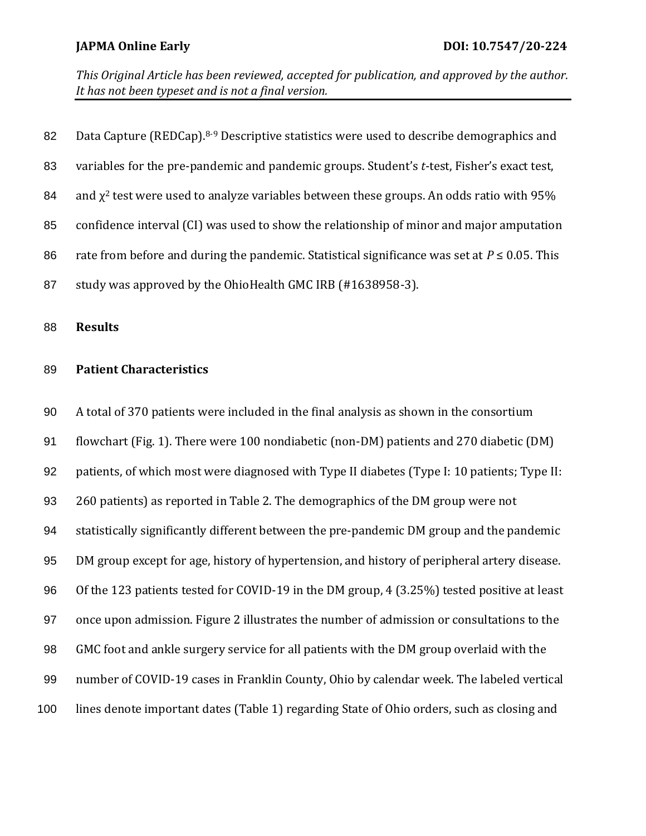| 82 | Data Capture (REDCap). <sup>8-9</sup> Descriptive statistics were used to describe demographics and |
|----|-----------------------------------------------------------------------------------------------------|
| 83 | variables for the pre-pandemic and pandemic groups. Student's t-test, Fisher's exact test,          |
| 84 | and $\chi^2$ test were used to analyze variables between these groups. An odds ratio with 95%       |
| 85 | confidence interval (CI) was used to show the relationship of minor and major amputation            |
| 86 | rate from before and during the pandemic. Statistical significance was set at $P \le 0.05$ . This   |
| 87 | study was approved by the OhioHealth GMC IRB (#1638958-3).                                          |
|    |                                                                                                     |

**Results**

### **Patient Characteristics**

 A total of 370 patients were included in the final analysis as shown in the consortium flowchart (Fig. 1). There were 100 nondiabetic (non-DM) patients and 270 diabetic (DM) patients, of which most were diagnosed with Type II diabetes (Type I: 10 patients; Type II: 260 patients) as reported in Table 2. The demographics of the DM group were not statistically significantly different between the pre-pandemic DM group and the pandemic DM group except for age, history of hypertension, and history of peripheral artery disease. Of the 123 patients tested for COVID-19 in the DM group, 4 (3.25%) tested positive at least once upon admission. Figure 2 illustrates the number of admission or consultations to the GMC foot and ankle surgery service for all patients with the DM group overlaid with the number of COVID-19 cases in Franklin County, Ohio by calendar week. The labeled vertical lines denote important dates (Table 1) regarding State of Ohio orders, such as closing and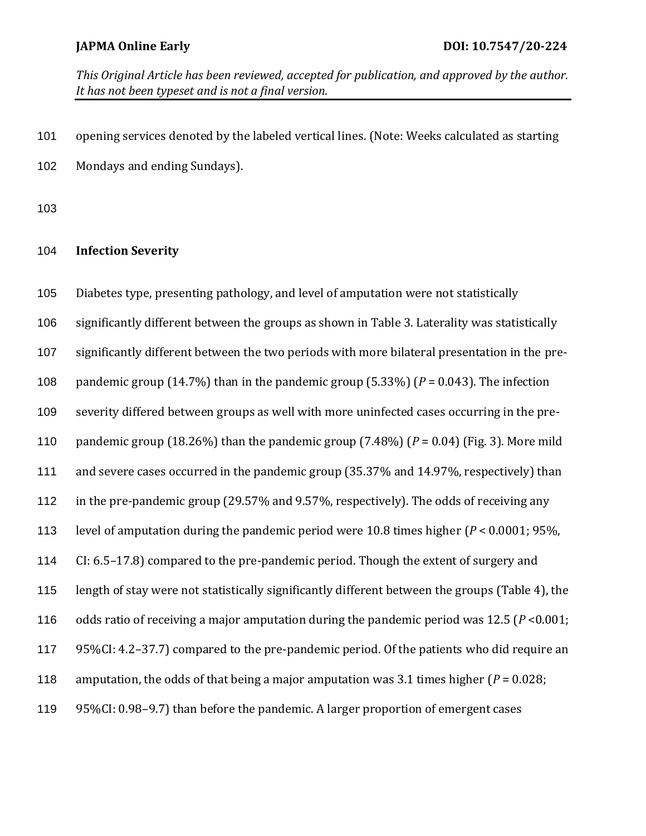opening services denoted by the labeled vertical lines. (Note: Weeks calculated as starting Mondays and ending Sundays).

### **Infection Severity**

 Diabetes type, presenting pathology, and level of amputation were not statistically significantly different between the groups as shown in Table 3. Laterality was statistically significantly different between the two periods with more bilateral presentation in the pre- pandemic group (14.7%) than in the pandemic group (5.33%) (*P* = 0.043). The infection severity differed between groups as well with more uninfected cases occurring in the pre- pandemic group (18.26%) than the pandemic group (7.48%) (*P* = 0.04) (Fig. 3). More mild and severe cases occurred in the pandemic group (35.37% and 14.97%, respectively) than in the pre-pandemic group (29.57% and 9.57%, respectively). The odds of receiving any level of amputation during the pandemic period were 10.8 times higher (*P* < 0.0001; 95%, CI: 6.5–17.8) compared to the pre-pandemic period. Though the extent of surgery and length of stay were not statistically significantly different between the groups (Table 4), the odds ratio of receiving a major amputation during the pandemic period was 12.5 (*P* <0.001; 95%CI: 4.2–37.7) compared to the pre-pandemic period. Of the patients who did require an 118 amputation, the odds of that being a major amputation was 3.1 times higher  $(P = 0.028)$ ; 95%CI: 0.98–9.7) than before the pandemic. A larger proportion of emergent cases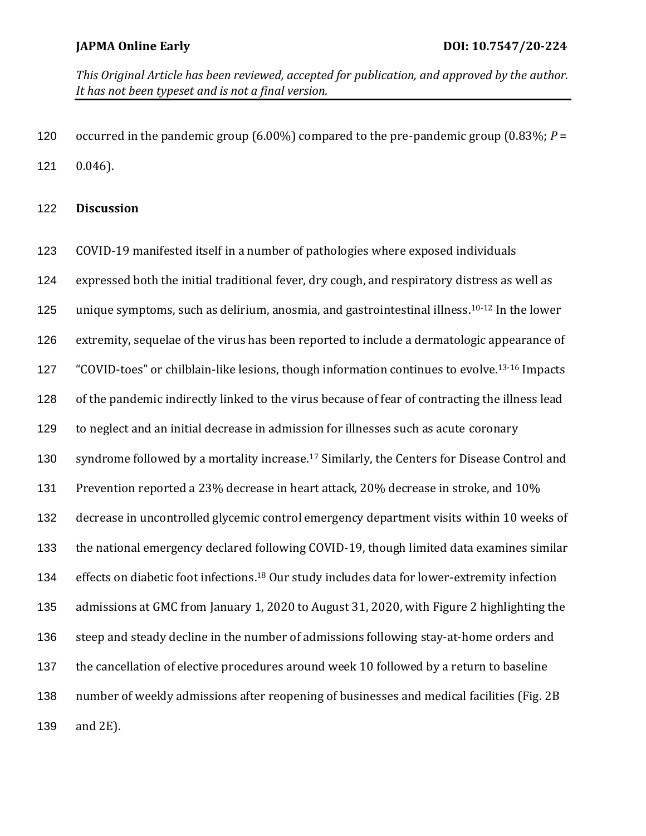occurred in the pandemic group (6.00%) compared to the pre-pandemic group (0.83%; *P* = 0.046).

### **Discussion**

 COVID-19 manifested itself in a number of pathologies where exposed individuals expressed both the initial traditional fever, dry cough, and respiratory distress as well as 125 unique symptoms, such as delirium, anosmia, and gastrointestinal illness.<sup>10-12</sup> In the lower extremity, sequelae of the virus has been reported to include a dermatologic appearance of 127 "COVID-toes" or chilblain-like lesions, though information continues to evolve.<sup>13-16</sup> Impacts of the pandemic indirectly linked to the virus because of fear of contracting the illness lead to neglect and an initial decrease in admission for illnesses such as acute coronary 130 syndrome followed by a mortality increase.<sup>17</sup> Similarly, the Centers for Disease Control and Prevention reported a 23% decrease in heart attack, 20% decrease in stroke, and 10% decrease in uncontrolled glycemic control emergency department visits within 10 weeks of the national emergency declared following COVID-19, though limited data examines similar 134 effects on diabetic foot infections.<sup>18</sup> Our study includes data for lower-extremity infection admissions at GMC from January 1, 2020 to August 31, 2020, with Figure 2 highlighting the steep and steady decline in the number of admissions following stay-at-home orders and the cancellation of elective procedures around week 10 followed by a return to baseline number of weekly admissions after reopening of businesses and medical facilities (Fig. 2B and 2E).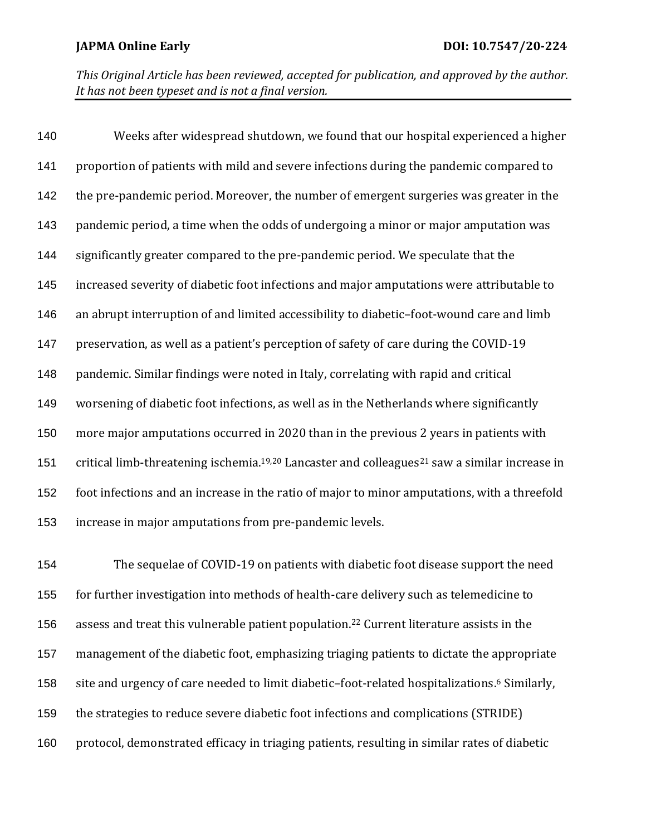Weeks after widespread shutdown, we found that our hospital experienced a higher proportion of patients with mild and severe infections during the pandemic compared to the pre-pandemic period. Moreover, the number of emergent surgeries was greater in the pandemic period, a time when the odds of undergoing a minor or major amputation was significantly greater compared to the pre-pandemic period. We speculate that the increased severity of diabetic foot infections and major amputations were attributable to an abrupt interruption of and limited accessibility to diabetic–foot-wound care and limb preservation, as well as a patient's perception of safety of care during the COVID-19 pandemic. Similar findings were noted in Italy, correlating with rapid and critical worsening of diabetic foot infections, as well as in the Netherlands where significantly more major amputations occurred in 2020 than in the previous 2 years in patients with 151 critical limb-threatening ischemia.<sup>19,20</sup> Lancaster and colleagues<sup>21</sup> saw a similar increase in foot infections and an increase in the ratio of major to minor amputations, with a threefold increase in major amputations from pre-pandemic levels.

 The sequelae of COVID-19 on patients with diabetic foot disease support the need for further investigation into methods of health-care delivery such as telemedicine to 156 assess and treat this vulnerable patient population.<sup>22</sup> Current literature assists in the management of the diabetic foot, emphasizing triaging patients to dictate the appropriate 158 site and urgency of care needed to limit diabetic-foot-related hospitalizations.<sup>6</sup> Similarly, the strategies to reduce severe diabetic foot infections and complications (STRIDE) protocol, demonstrated efficacy in triaging patients, resulting in similar rates of diabetic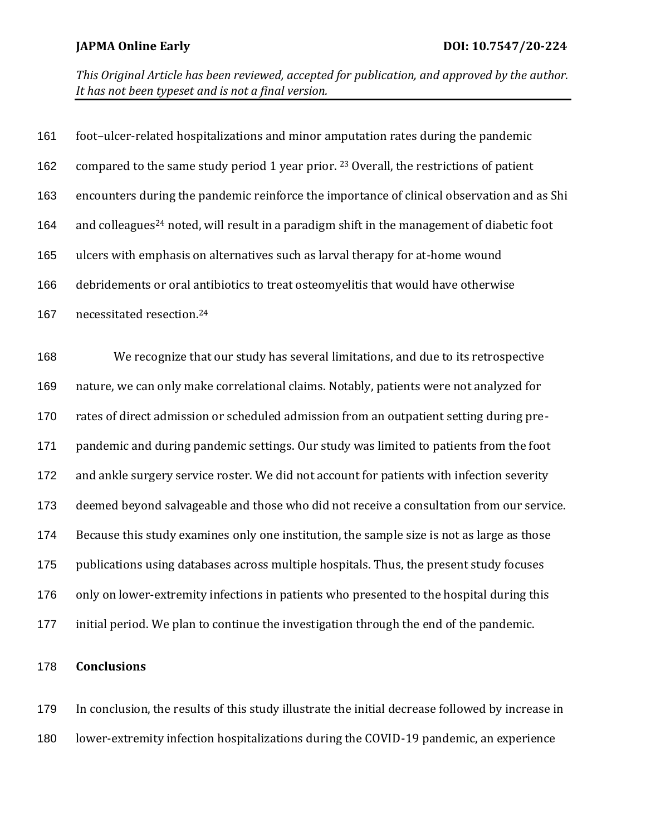| 161 | foot-ulcer-related hospitalizations and minor amputation rates during the pandemic                     |
|-----|--------------------------------------------------------------------------------------------------------|
| 162 | compared to the same study period 1 year prior. <sup>23</sup> Overall, the restrictions of patient     |
| 163 | encounters during the pandemic reinforce the importance of clinical observation and as Shi             |
| 164 | and colleagues <sup>24</sup> noted, will result in a paradigm shift in the management of diabetic foot |
| 165 | ulcers with emphasis on alternatives such as larval therapy for at-home wound                          |
| 166 | debridements or oral antibiotics to treat osteomyelitis that would have otherwise                      |
| 167 | necessitated resection. <sup>24</sup>                                                                  |
| 168 | We recognize that our study has several limitations, and due to its retrospective                      |
| 169 | nature, we can only make correlational claims. Notably, patients were not analyzed for                 |
| 170 | rates of direct admission or scheduled admission from an outpatient setting during pre-                |
| 171 | pandemic and during pandemic settings. Our study was limited to patients from the foot                 |
| 172 | and ankle surgery service roster. We did not account for patients with infection severity              |
| 173 | deemed beyond salvageable and those who did not receive a consultation from our service.               |
| 174 | Because this study examines only one institution, the sample size is not as large as those             |
| 175 | publications using databases across multiple hospitals. Thus, the present study focuses                |
| 176 | only on lower-extremity infections in patients who presented to the hospital during this               |
| 177 | initial period. We plan to continue the investigation through the end of the pandemic.                 |

### **Conclusions**

 In conclusion, the results of this study illustrate the initial decrease followed by increase in lower-extremity infection hospitalizations during the COVID-19 pandemic, an experience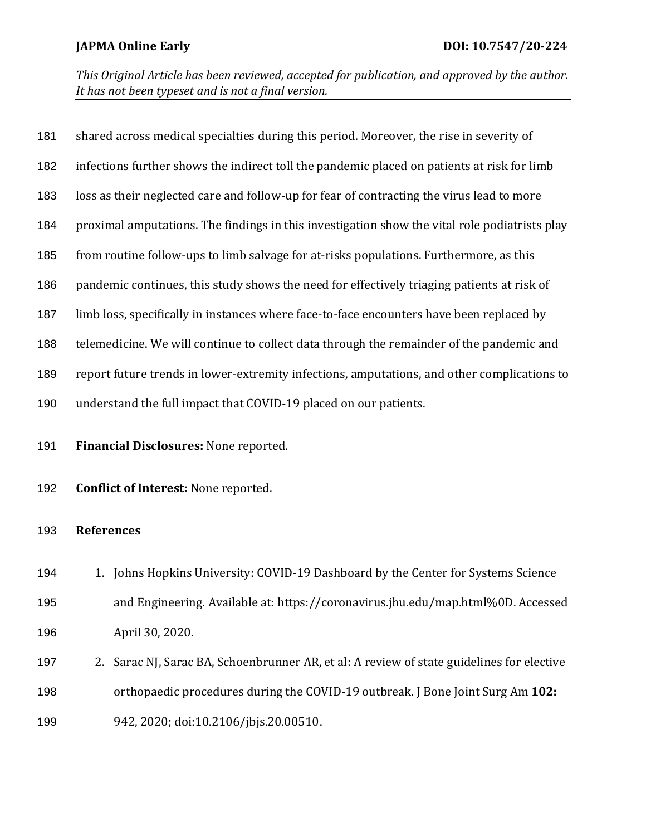| 181 | shared across medical specialties during this period. Moreover, the rise in severity of       |  |  |
|-----|-----------------------------------------------------------------------------------------------|--|--|
| 182 | infections further shows the indirect toll the pandemic placed on patients at risk for limb   |  |  |
| 183 | loss as their neglected care and follow-up for fear of contracting the virus lead to more     |  |  |
| 184 | proximal amputations. The findings in this investigation show the vital role podiatrists play |  |  |
| 185 | from routine follow-ups to limb salvage for at-risks populations. Furthermore, as this        |  |  |
| 186 | pandemic continues, this study shows the need for effectively triaging patients at risk of    |  |  |
| 187 | limb loss, specifically in instances where face-to-face encounters have been replaced by      |  |  |
| 188 | telemedicine. We will continue to collect data through the remainder of the pandemic and      |  |  |
| 189 | report future trends in lower-extremity infections, amputations, and other complications to   |  |  |
| 190 | understand the full impact that COVID-19 placed on our patients.                              |  |  |
| 191 | Financial Disclosures: None reported.                                                         |  |  |
| 192 | <b>Conflict of Interest: None reported.</b>                                                   |  |  |
| 193 | <b>References</b>                                                                             |  |  |
| 194 | 1. Johns Hopkins University: COVID-19 Dashboard by the Center for Systems Science             |  |  |
| 195 | and Engineering. Available at: https://coronavirus.jhu.edu/map.html%0D. Accessed              |  |  |
| 196 | April 30, 2020.                                                                               |  |  |
| 197 | Sarac NJ, Sarac BA, Schoenbrunner AR, et al: A review of state guidelines for elective<br>2.  |  |  |
| 198 | orthopaedic procedures during the COVID-19 outbreak. J Bone Joint Surg Am 102:                |  |  |

942, 2020; doi:10.2106/jbjs.20.00510.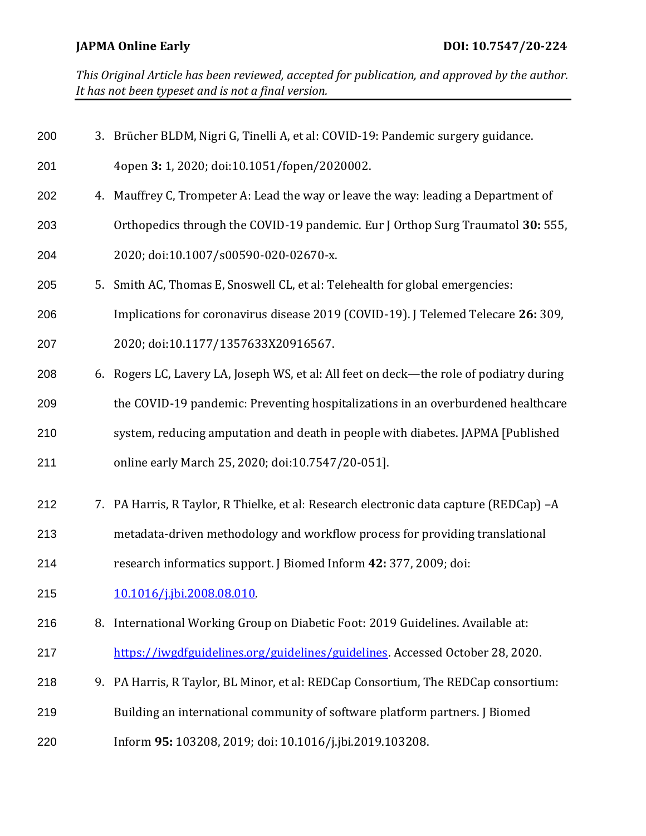| 200 | 3. Brücher BLDM, Nigri G, Tinelli A, et al: COVID-19: Pandemic surgery guidance.        |
|-----|-----------------------------------------------------------------------------------------|
| 201 | 4open 3: 1, 2020; doi:10.1051/fopen/2020002.                                            |
| 202 | 4. Mauffrey C, Trompeter A: Lead the way or leave the way: leading a Department of      |
| 203 | Orthopedics through the COVID-19 pandemic. Eur J Orthop Surg Traumatol 30: 555,         |
| 204 | 2020; doi:10.1007/s00590-020-02670-x.                                                   |
| 205 | 5. Smith AC, Thomas E, Snoswell CL, et al: Telehealth for global emergencies:           |
| 206 | Implications for coronavirus disease 2019 (COVID-19). J Telemed Telecare 26: 309,       |
| 207 | 2020; doi:10.1177/1357633X20916567.                                                     |
| 208 | 6. Rogers LC, Lavery LA, Joseph WS, et al: All feet on deck—the role of podiatry during |
| 209 | the COVID-19 pandemic: Preventing hospitalizations in an overburdened healthcare        |
| 210 | system, reducing amputation and death in people with diabetes. JAPMA [Published         |
| 211 | online early March 25, 2020; doi:10.7547/20-051].                                       |
| 212 | 7. PA Harris, R Taylor, R Thielke, et al: Research electronic data capture (REDCap) -A  |
| 213 | metadata-driven methodology and workflow process for providing translational            |
| 214 | research informatics support. J Biomed Inform 42: 377, 2009; doi:                       |
| 215 | 10.1016/j.jbi.2008.08.010                                                               |
| 216 | 8. International Working Group on Diabetic Foot: 2019 Guidelines. Available at:         |
| 217 | https://iwgdfguidelines.org/guidelines/guidelines. Accessed October 28, 2020.           |
| 218 | 9. PA Harris, R Taylor, BL Minor, et al: REDCap Consortium, The REDCap consortium:      |
| 219 | Building an international community of software platform partners. J Biomed             |
| 220 | Inform 95: 103208, 2019; doi: 10.1016/j.jbi.2019.103208.                                |
|     |                                                                                         |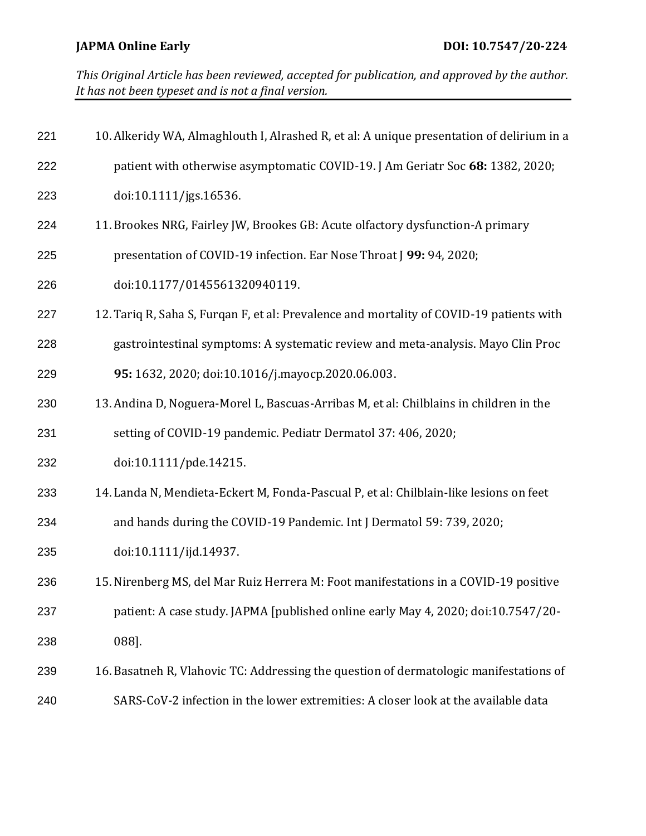| 221 | 10. Alkeridy WA, Almaghlouth I, Alrashed R, et al: A unique presentation of delirium in a |  |  |
|-----|-------------------------------------------------------------------------------------------|--|--|
| 222 | patient with otherwise asymptomatic COVID-19. J Am Geriatr Soc 68: 1382, 2020;            |  |  |
| 223 | doi:10.1111/jgs.16536.                                                                    |  |  |
| 224 | 11. Brookes NRG, Fairley JW, Brookes GB: Acute olfactory dysfunction-A primary            |  |  |
| 225 | presentation of COVID-19 infection. Ear Nose Throat J 99: 94, 2020;                       |  |  |
| 226 | doi:10.1177/0145561320940119.                                                             |  |  |
| 227 | 12. Tariq R, Saha S, Furqan F, et al: Prevalence and mortality of COVID-19 patients with  |  |  |
| 228 | gastrointestinal symptoms: A systematic review and meta-analysis. Mayo Clin Proc          |  |  |
| 229 | 95: 1632, 2020; doi:10.1016/j.mayocp.2020.06.003.                                         |  |  |
| 230 | 13. Andina D, Noguera-Morel L, Bascuas-Arribas M, et al: Chilblains in children in the    |  |  |
| 231 | setting of COVID-19 pandemic. Pediatr Dermatol 37: 406, 2020;                             |  |  |
| 232 | doi:10.1111/pde.14215.                                                                    |  |  |
| 233 | 14. Landa N, Mendieta-Eckert M, Fonda-Pascual P, et al: Chilblain-like lesions on feet    |  |  |
| 234 | and hands during the COVID-19 Pandemic. Int J Dermatol 59: 739, 2020;                     |  |  |
| 235 | doi:10.1111/ijd.14937.                                                                    |  |  |
| 236 | 15. Nirenberg MS, del Mar Ruiz Herrera M: Foot manifestations in a COVID-19 positive      |  |  |
| 237 | patient: A case study. JAPMA [published online early May 4, 2020; doi:10.7547/20-         |  |  |
| 238 | 088].                                                                                     |  |  |
| 239 | 16. Basatneh R, Vlahovic TC: Addressing the question of dermatologic manifestations of    |  |  |
| 240 | SARS-CoV-2 infection in the lower extremities: A closer look at the available data        |  |  |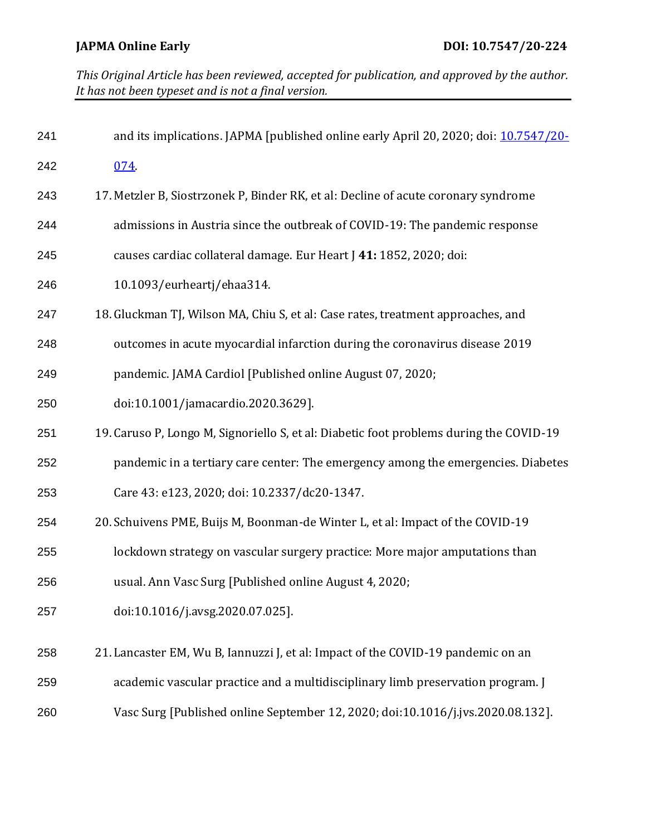| 241 | and its implications. JAPMA [published online early April 20, 2020; doi: 10.7547/20-    |
|-----|-----------------------------------------------------------------------------------------|
| 242 | 074                                                                                     |
| 243 | 17. Metzler B, Siostrzonek P, Binder RK, et al: Decline of acute coronary syndrome      |
| 244 | admissions in Austria since the outbreak of COVID-19: The pandemic response             |
| 245 | causes cardiac collateral damage. Eur Heart J 41: 1852, 2020; doi:                      |
| 246 | 10.1093/eurheartj/ehaa314.                                                              |
| 247 | 18. Gluckman TJ, Wilson MA, Chiu S, et al: Case rates, treatment approaches, and        |
| 248 | outcomes in acute myocardial infarction during the coronavirus disease 2019             |
| 249 | pandemic. JAMA Cardiol [Published online August 07, 2020;                               |
| 250 | doi:10.1001/jamacardio.2020.3629].                                                      |
| 251 | 19. Caruso P, Longo M, Signoriello S, et al: Diabetic foot problems during the COVID-19 |
| 252 | pandemic in a tertiary care center: The emergency among the emergencies. Diabetes       |
| 253 | Care 43: e123, 2020; doi: 10.2337/dc20-1347.                                            |
| 254 | 20. Schuivens PME, Buijs M, Boonman-de Winter L, et al: Impact of the COVID-19          |
| 255 | lockdown strategy on vascular surgery practice: More major amputations than             |
| 256 | usual. Ann Vasc Surg [Published online August 4, 2020;                                  |
| 257 | doi:10.1016/j.avsg.2020.07.025].                                                        |
| 258 | 21. Lancaster EM, Wu B, Iannuzzi J, et al: Impact of the COVID-19 pandemic on an        |
| 259 | academic vascular practice and a multidisciplinary limb preservation program. J         |
| 260 | Vasc Surg [Published online September 12, 2020; doi:10.1016/j.jvs.2020.08.132].         |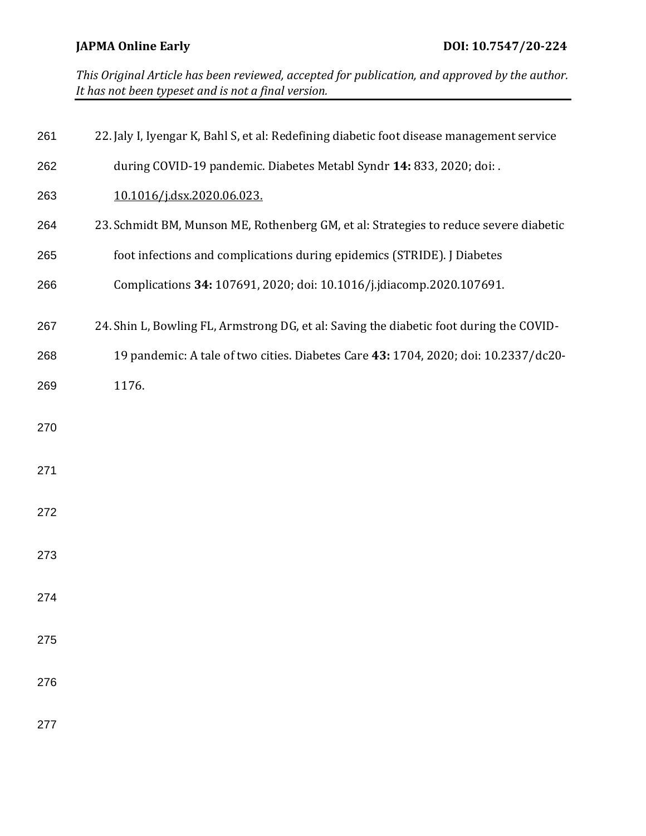| 261 | 22. Jaly I, Iyengar K, Bahl S, et al: Redefining diabetic foot disease management service |
|-----|-------------------------------------------------------------------------------------------|
| 262 | during COVID-19 pandemic. Diabetes Metabl Syndr 14: 833, 2020; doi: .                     |
| 263 | 10.1016/j.dsx.2020.06.023.                                                                |
| 264 | 23. Schmidt BM, Munson ME, Rothenberg GM, et al: Strategies to reduce severe diabetic     |
| 265 | foot infections and complications during epidemics (STRIDE). J Diabetes                   |
| 266 | Complications 34: 107691, 2020; doi: 10.1016/j.jdiacomp.2020.107691.                      |
| 267 | 24. Shin L, Bowling FL, Armstrong DG, et al: Saving the diabetic foot during the COVID-   |
| 268 | 19 pandemic: A tale of two cities. Diabetes Care 43: 1704, 2020; doi: 10.2337/dc20-       |
| 269 | 1176.                                                                                     |
| 270 |                                                                                           |
| 271 |                                                                                           |
| 272 |                                                                                           |
| 273 |                                                                                           |
| 274 |                                                                                           |
| 275 |                                                                                           |
| 276 |                                                                                           |
| 277 |                                                                                           |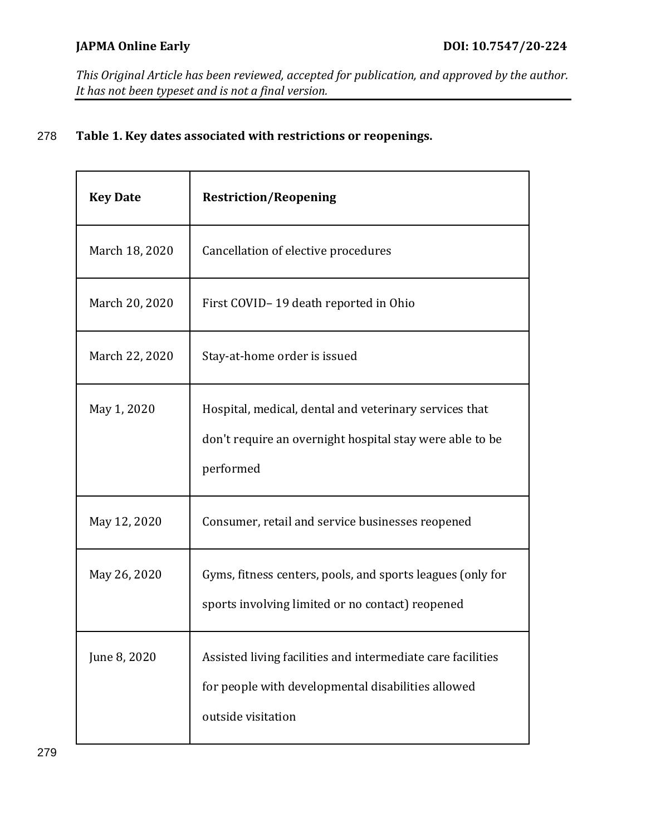# 278 **Table 1. Key dates associated with restrictions or reopenings.**

| <b>Key Date</b> | <b>Restriction/Reopening</b>                                                                                                            |  |
|-----------------|-----------------------------------------------------------------------------------------------------------------------------------------|--|
| March 18, 2020  | Cancellation of elective procedures                                                                                                     |  |
| March 20, 2020  | First COVID-19 death reported in Ohio                                                                                                   |  |
| March 22, 2020  | Stay-at-home order is issued                                                                                                            |  |
| May 1, 2020     | Hospital, medical, dental and veterinary services that<br>don't require an overnight hospital stay were able to be<br>performed         |  |
| May 12, 2020    | Consumer, retail and service businesses reopened                                                                                        |  |
| May 26, 2020    | Gyms, fitness centers, pools, and sports leagues (only for<br>sports involving limited or no contact) reopened                          |  |
| June 8, 2020    | Assisted living facilities and intermediate care facilities<br>for people with developmental disabilities allowed<br>outside visitation |  |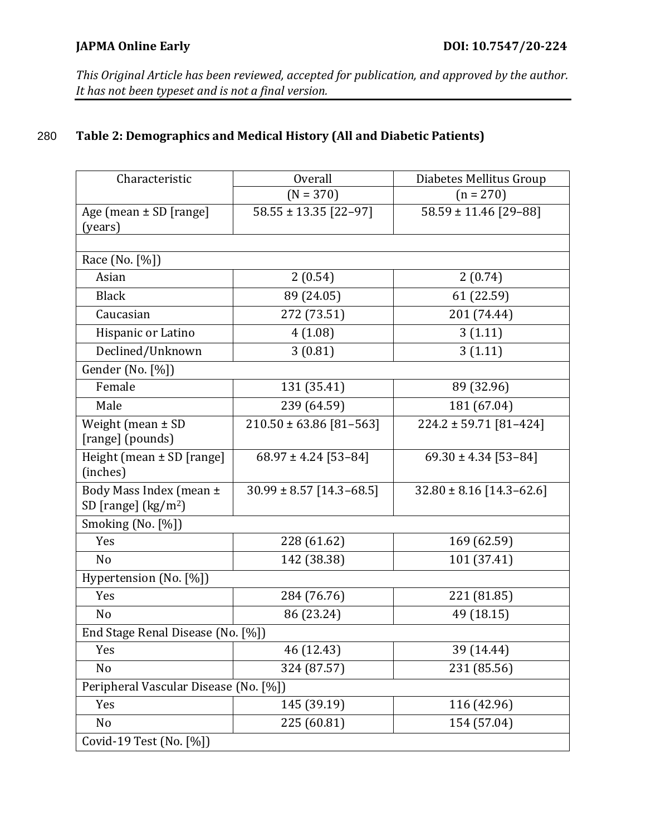### **JAPMA Online Early DOI: 10.7547/20-224**

*This Original Article has been reviewed, accepted for publication, and approved by the author. It has not been typeset and is not a final version.* 

# 280 **Table 2: Demographics and Medical History (All and Diabetic Patients)**

| Characteristic                                  | <b>Overall</b>               | Diabetes Mellitus Group      |  |  |
|-------------------------------------------------|------------------------------|------------------------------|--|--|
|                                                 | $(N = 370)$                  | $(n = 270)$                  |  |  |
| Age (mean $\pm$ SD [range]                      | $58.55 \pm 13.35$ [22-97]    | $58.59 \pm 11.46$ [29-88]    |  |  |
| (years)                                         |                              |                              |  |  |
|                                                 |                              |                              |  |  |
| Race (No. [%])                                  |                              |                              |  |  |
| Asian                                           | 2(0.54)                      | 2(0.74)                      |  |  |
| <b>Black</b>                                    | 89 (24.05)                   | 61 (22.59)                   |  |  |
| Caucasian                                       | 272 (73.51)                  | 201 (74.44)                  |  |  |
| Hispanic or Latino                              | 4(1.08)                      | 3(1.11)                      |  |  |
| Declined/Unknown                                | 3(0.81)                      | 3(1.11)                      |  |  |
| Gender (No. [%])                                |                              |                              |  |  |
| Female                                          | 131 (35.41)                  | 89 (32.96)                   |  |  |
| Male                                            | 239 (64.59)                  | 181 (67.04)                  |  |  |
| Weight (mean ± SD<br>[range] (pounds)           | $210.50 \pm 63.86$ [81-563]  | $224.2 \pm 59.71$ [81-424]   |  |  |
| Height (mean ± SD [range]<br>(inches)           | $68.97 \pm 4.24$ [53-84]     | $69.30 \pm 4.34$ [53-84]     |  |  |
| Body Mass Index (mean ±<br>SD [range] $(kg/m2)$ | $30.99 \pm 8.57$ [14.3-68.5] | $32.80 \pm 8.16$ [14.3-62.6] |  |  |
| Smoking (No. [%])                               |                              |                              |  |  |
| Yes                                             | 228 (61.62)                  | 169 (62.59)                  |  |  |
| N <sub>o</sub>                                  | 142 (38.38)                  | 101 (37.41)                  |  |  |
| Hypertension (No. [%])                          |                              |                              |  |  |
| Yes                                             | 284 (76.76)                  | 221 (81.85)                  |  |  |
| N <sub>o</sub>                                  | 86 (23.24)                   | 49 (18.15)                   |  |  |
| End Stage Renal Disease (No. [%])               |                              |                              |  |  |
| Yes                                             | 46 (12.43)                   | 39 (14.44)                   |  |  |
| No                                              | 324 (87.57)                  | 231 (85.56)                  |  |  |
| Peripheral Vascular Disease (No. [%])           |                              |                              |  |  |
| Yes                                             | 145 (39.19)                  | 116 (42.96)                  |  |  |
| No                                              | 225 (60.81)                  | 154 (57.04)                  |  |  |
| Covid-19 Test (No. [%])                         |                              |                              |  |  |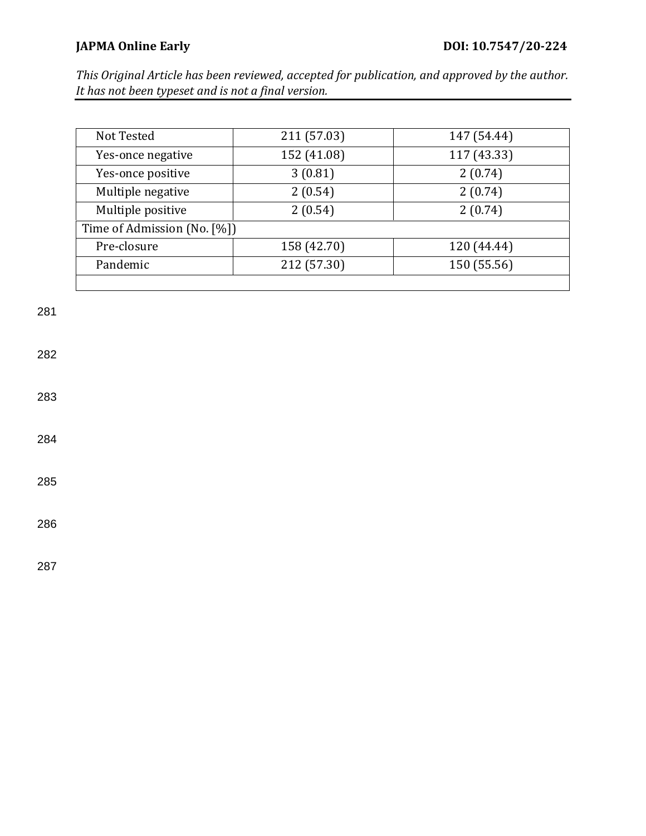| Not Tested                  | 211 (57.03)        | 147 (54.44) |  |  |
|-----------------------------|--------------------|-------------|--|--|
| Yes-once negative           | 152 (41.08)        | 117 (43.33) |  |  |
| Yes-once positive           | 3(0.81)            | 2(0.74)     |  |  |
| Multiple negative           | 2(0.54)<br>2(0.74) |             |  |  |
| Multiple positive           | 2(0.54)            | 2(0.74)     |  |  |
| Time of Admission (No. [%]) |                    |             |  |  |
| Pre-closure                 | 158 (42.70)        | 120 (44.44) |  |  |
| Pandemic                    | 212 (57.30)        | 150 (55.56) |  |  |
|                             |                    |             |  |  |

281

282

283

284

285

286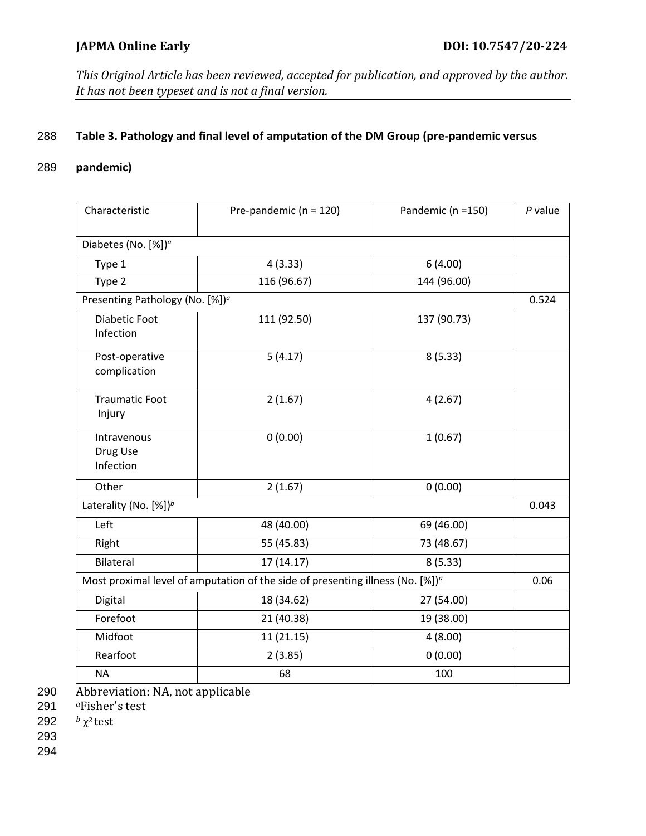### 288 **Table 3. Pathology and final level of amputation of the DM Group (pre-pandemic versus**

# 289 **pandemic)**

| Characteristic                                                                                                  | Pre-pandemic ( $n = 120$ ) | Pandemic (n =150) | $P$ value |  |
|-----------------------------------------------------------------------------------------------------------------|----------------------------|-------------------|-----------|--|
| Diabetes (No. [%]) <sup>a</sup>                                                                                 |                            |                   |           |  |
| Type 1                                                                                                          | 4(3.33)                    | 6(4.00)           |           |  |
| Type 2                                                                                                          | 116 (96.67)                | 144 (96.00)       |           |  |
| Presenting Pathology (No. [%]) <sup>a</sup>                                                                     |                            |                   |           |  |
| <b>Diabetic Foot</b><br>Infection                                                                               | 111 (92.50)                | 137 (90.73)       |           |  |
| Post-operative<br>complication                                                                                  | 5(4.17)                    | 8(5.33)           |           |  |
| <b>Traumatic Foot</b><br>Injury                                                                                 | 2(1.67)                    | 4(2.67)           |           |  |
| Intravenous<br>Drug Use<br>Infection                                                                            | 0(0.00)                    | 1(0.67)           |           |  |
| Other                                                                                                           | 2(1.67)                    | 0(0.00)           |           |  |
| Laterality (No. [%]) <sup>b</sup>                                                                               |                            |                   |           |  |
| Left                                                                                                            | 48 (40.00)                 | 69 (46.00)        |           |  |
| Right                                                                                                           | 55 (45.83)                 | 73 (48.67)        |           |  |
| Bilateral                                                                                                       | 17(14.17)                  | 8(5.33)           |           |  |
| Most proximal level of amputation of the side of presenting illness (No. $[%]$ ) <sup><math>\alpha</math></sup> |                            |                   |           |  |
| Digital                                                                                                         | 18 (34.62)                 | 27 (54.00)        |           |  |
| Forefoot                                                                                                        | 21 (40.38)                 | 19 (38.00)        |           |  |
| Midfoot                                                                                                         | 11(21.15)                  | 4(8.00)           |           |  |
| Rearfoot                                                                                                        | 2(3.85)                    | 0(0.00)           |           |  |
| <b>NA</b>                                                                                                       | 68                         | 100               |           |  |

290 Abbreviation: NA, not applicable

291 *<sup>a</sup>*Fisher's test

292  $b \gamma^2$  test

293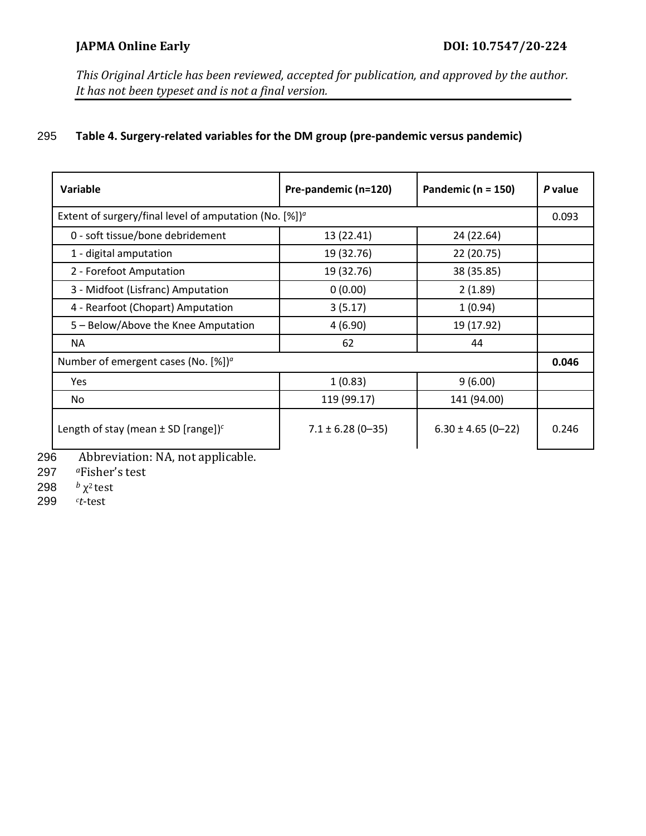# 295 **Table 4. Surgery-related variables for the DM group (pre-pandemic versus pandemic)**

| Variable                                                               | Pre-pandemic (n=120)  | Pandemic ( $n = 150$ ) | P value |  |
|------------------------------------------------------------------------|-----------------------|------------------------|---------|--|
| Extent of surgery/final level of amputation (No. $[\%]$ ) <sup>a</sup> |                       |                        |         |  |
| 0 - soft tissue/bone debridement                                       | 13 (22.41)            | 24 (22.64)             |         |  |
| 1 - digital amputation                                                 | 19 (32.76)            | 22 (20.75)             |         |  |
| 2 - Forefoot Amputation                                                | 19 (32.76)            | 38 (35.85)             |         |  |
| 3 - Midfoot (Lisfranc) Amputation                                      | 0(0.00)               | 2(1.89)                |         |  |
| 4 - Rearfoot (Chopart) Amputation                                      | 3(5.17)               | 1(0.94)                |         |  |
| 5 – Below/Above the Knee Amputation                                    | 4(6.90)               | 19 (17.92)             |         |  |
| <b>NA</b>                                                              | 62                    | 44                     |         |  |
| Number of emergent cases (No. $[%]$ <sup>o</sup>                       |                       |                        |         |  |
| Yes                                                                    | 1(0.83)               | 9(6.00)                |         |  |
| No.                                                                    | 119 (99.17)           | 141 (94.00)            |         |  |
| Length of stay (mean $\pm$ SD [range]) <sup>c</sup>                    | $7.1 \pm 6.28$ (0-35) | $6.30 \pm 4.65$ (0-22) | 0.246   |  |

296 Abbreviation: NA, not applicable.

297 *<sup>a</sup>*Fisher's test

298  $χ²$  *test* 

*<sup>c</sup>* 299 *t*-test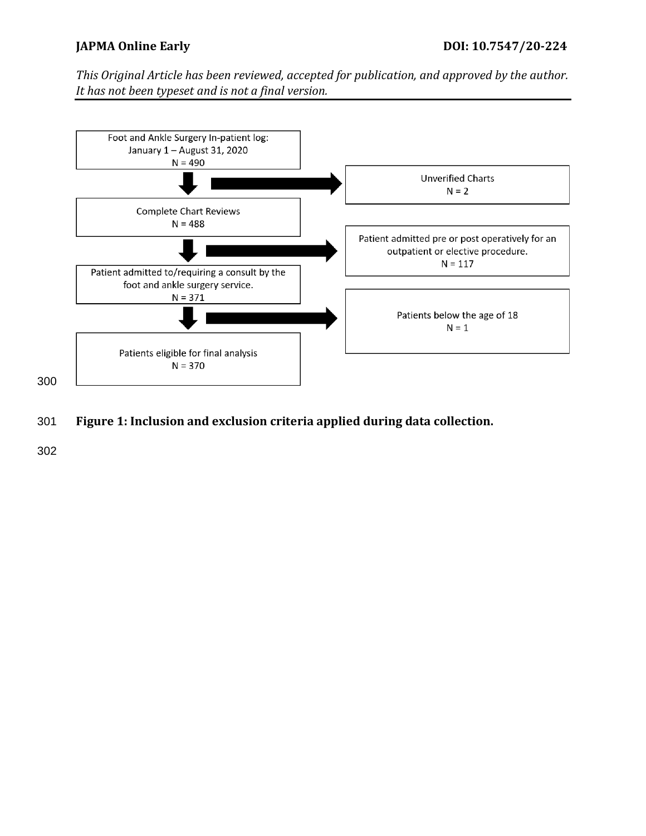

301 **Figure 1: Inclusion and exclusion criteria applied during data collection.**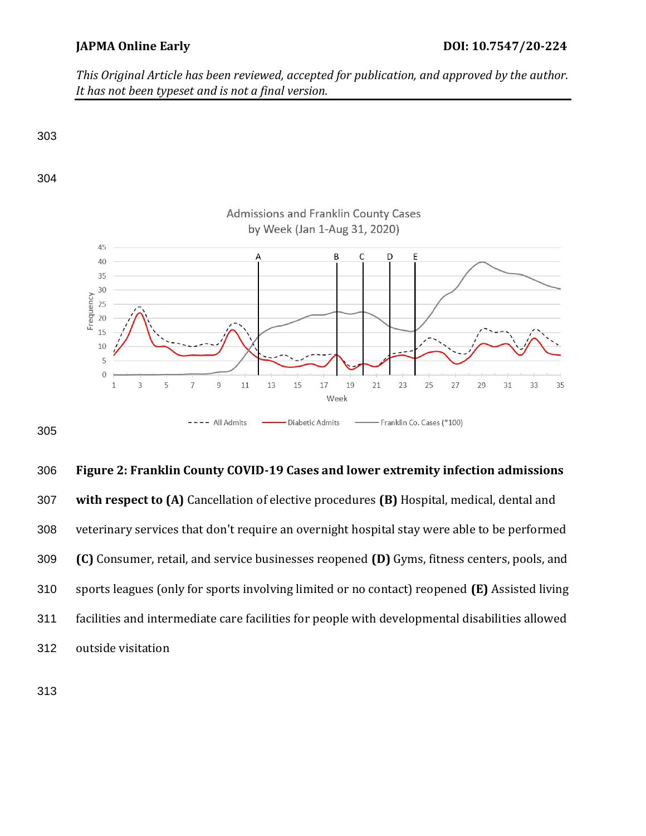

 **Figure 2: Franklin County COVID-19 Cases and lower extremity infection admissions with respect to (A)** Cancellation of elective procedures **(B)** Hospital, medical, dental and veterinary services that don't require an overnight hospital stay were able to be performed **(C)** Consumer, retail, and service businesses reopened **(D)** Gyms, fitness centers, pools, and sports leagues (only for sports involving limited or no contact) reopened **(E)** Assisted living facilities and intermediate care facilities for people with developmental disabilities allowed outside visitation